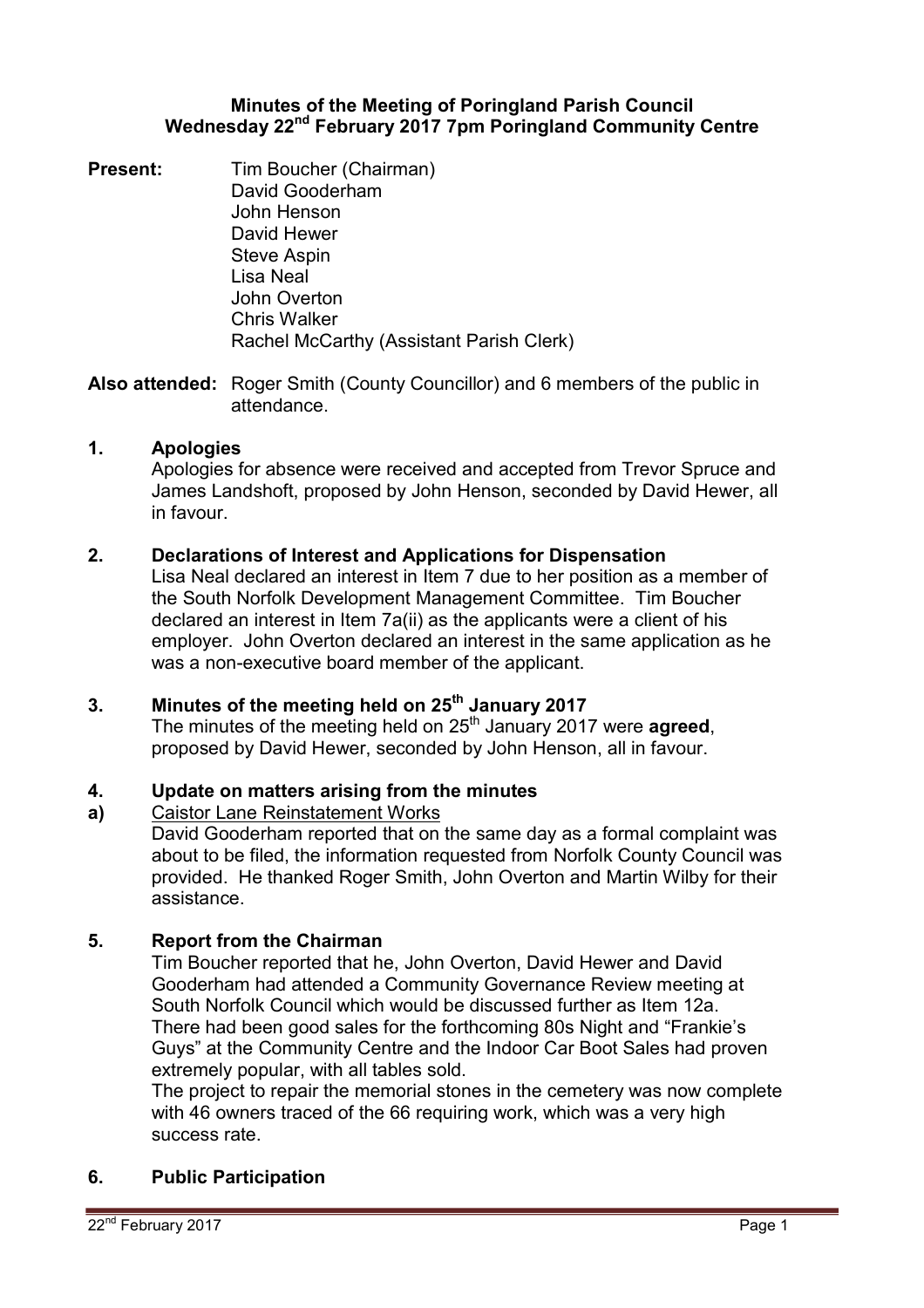### **Minutes of the Meeting of Poringland Parish Council Wednesday 22nd February 2017 7pm Poringland Community Centre**

**Present:** Tim Boucher (Chairman) David Gooderham John Henson David Hewer Steve Aspin Lisa Neal John Overton Chris Walker Rachel McCarthy (Assistant Parish Clerk)

**Also attended:** Roger Smith (County Councillor) and 6 members of the public in attendance.

# **1. Apologies**

Apologies for absence were received and accepted from Trevor Spruce and James Landshoft, proposed by John Henson, seconded by David Hewer, all in favour.

# **2. Declarations of Interest and Applications for Dispensation**

Lisa Neal declared an interest in Item 7 due to her position as a member of the South Norfolk Development Management Committee. Tim Boucher declared an interest in Item 7a(ii) as the applicants were a client of his employer. John Overton declared an interest in the same application as he was a non-executive board member of the applicant.

# **3. Minutes of the meeting held on 25th January 2017**

The minutes of the meeting held on 25<sup>th</sup> January 2017 were **agreed**. proposed by David Hewer, seconded by John Henson, all in favour.

#### **4. Update on matters arising from the minutes**

#### **a)**  Caistor Lane Reinstatement Works

David Gooderham reported that on the same day as a formal complaint was about to be filed, the information requested from Norfolk County Council was provided. He thanked Roger Smith, John Overton and Martin Wilby for their assistance.

# **5. Report from the Chairman**

Tim Boucher reported that he, John Overton, David Hewer and David Gooderham had attended a Community Governance Review meeting at South Norfolk Council which would be discussed further as Item 12a. There had been good sales for the forthcoming 80s Night and "Frankie's Guys" at the Community Centre and the Indoor Car Boot Sales had proven extremely popular, with all tables sold.

The project to repair the memorial stones in the cemetery was now complete with 46 owners traced of the 66 requiring work, which was a very high success rate.

### **6. Public Participation**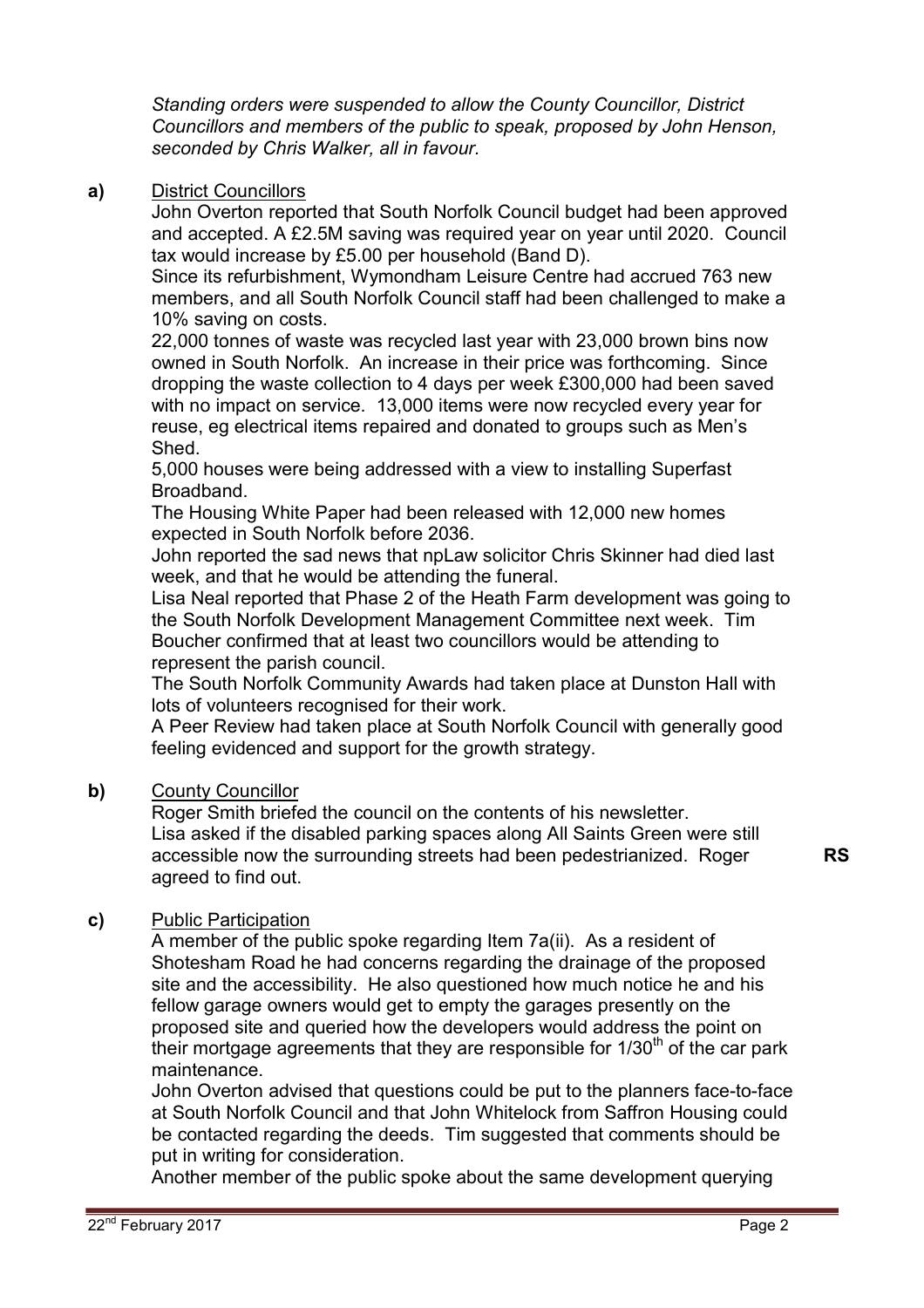*Standing orders were suspended to allow the County Councillor, District Councillors and members of the public to speak, proposed by John Henson, seconded by Chris Walker, all in favour.* 

## **a)** District Councillors

John Overton reported that South Norfolk Council budget had been approved and accepted. A £2.5M saving was required year on year until 2020. Council tax would increase by £5.00 per household (Band D).

Since its refurbishment, Wymondham Leisure Centre had accrued 763 new members, and all South Norfolk Council staff had been challenged to make a 10% saving on costs.

22,000 tonnes of waste was recycled last year with 23,000 brown bins now owned in South Norfolk. An increase in their price was forthcoming. Since dropping the waste collection to 4 days per week £300,000 had been saved with no impact on service. 13,000 items were now recycled every year for reuse, eg electrical items repaired and donated to groups such as Men's Shed.

5,000 houses were being addressed with a view to installing Superfast Broadband.

The Housing White Paper had been released with 12,000 new homes expected in South Norfolk before 2036.

John reported the sad news that npLaw solicitor Chris Skinner had died last week, and that he would be attending the funeral.

Lisa Neal reported that Phase 2 of the Heath Farm development was going to the South Norfolk Development Management Committee next week. Tim Boucher confirmed that at least two councillors would be attending to represent the parish council.

The South Norfolk Community Awards had taken place at Dunston Hall with lots of volunteers recognised for their work.

A Peer Review had taken place at South Norfolk Council with generally good feeling evidenced and support for the growth strategy.

### **b)** County Councillor

Roger Smith briefed the council on the contents of his newsletter. Lisa asked if the disabled parking spaces along All Saints Green were still accessible now the surrounding streets had been pedestrianized. Roger agreed to find out.

**RS** 

# **c)** Public Participation

A member of the public spoke regarding Item 7a(ii). As a resident of Shotesham Road he had concerns regarding the drainage of the proposed site and the accessibility. He also questioned how much notice he and his fellow garage owners would get to empty the garages presently on the proposed site and queried how the developers would address the point on their mortgage agreements that they are responsible for  $1/30<sup>th</sup>$  of the car park maintenance.

John Overton advised that questions could be put to the planners face-to-face at South Norfolk Council and that John Whitelock from Saffron Housing could be contacted regarding the deeds. Tim suggested that comments should be put in writing for consideration.

Another member of the public spoke about the same development querying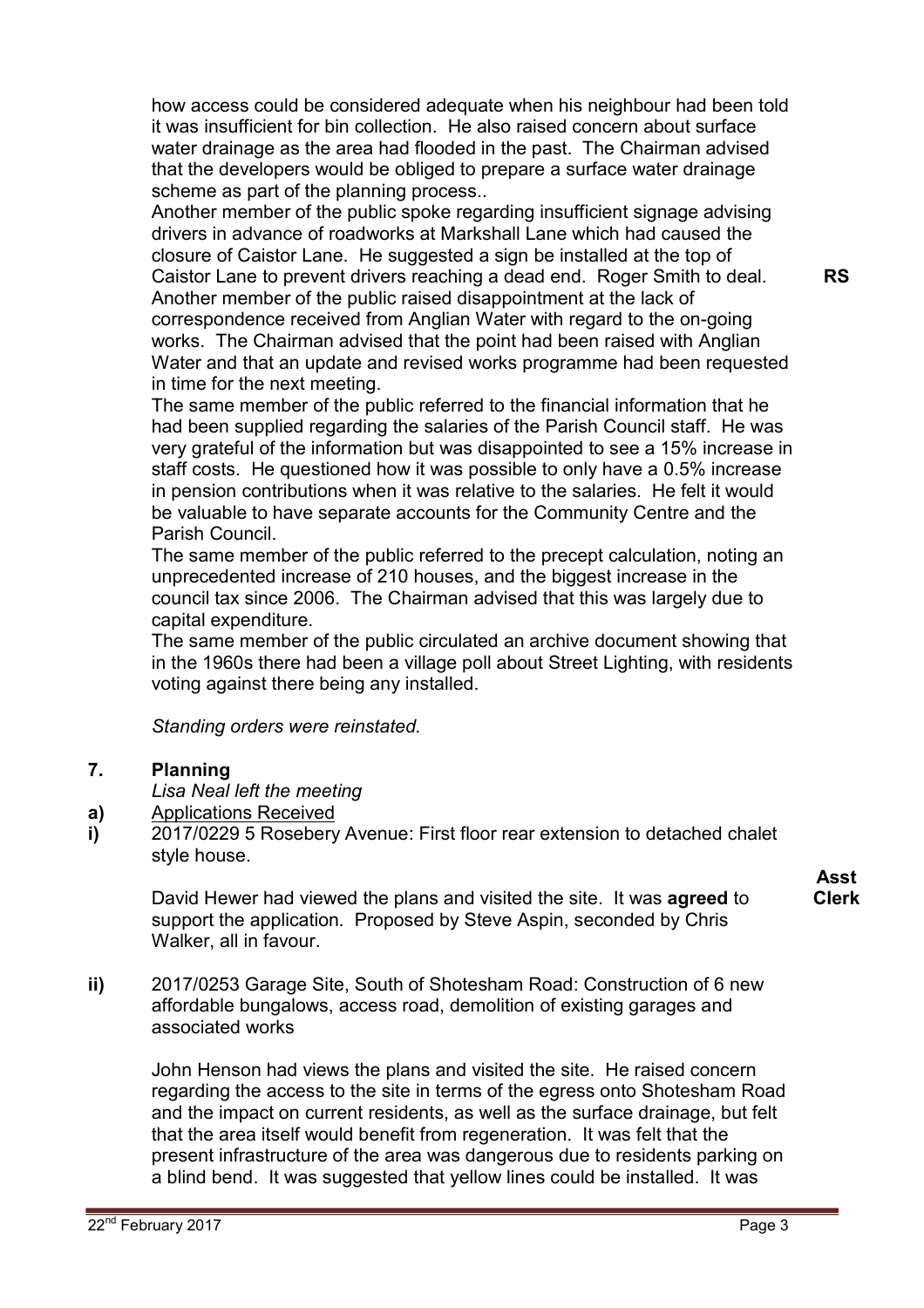how access could be considered adequate when his neighbour had been told it was insufficient for bin collection. He also raised concern about surface water drainage as the area had flooded in the past. The Chairman advised that the developers would be obliged to prepare a surface water drainage scheme as part of the planning process..

Another member of the public spoke regarding insufficient signage advising drivers in advance of roadworks at Markshall Lane which had caused the closure of Caistor Lane. He suggested a sign be installed at the top of Caistor Lane to prevent drivers reaching a dead end. Roger Smith to deal. Another member of the public raised disappointment at the lack of correspondence received from Anglian Water with regard to the on-going works. The Chairman advised that the point had been raised with Anglian Water and that an update and revised works programme had been requested in time for the next meeting.

The same member of the public referred to the financial information that he had been supplied regarding the salaries of the Parish Council staff. He was very grateful of the information but was disappointed to see a 15% increase in staff costs. He questioned how it was possible to only have a 0.5% increase in pension contributions when it was relative to the salaries. He felt it would be valuable to have separate accounts for the Community Centre and the Parish Council.

The same member of the public referred to the precept calculation, noting an unprecedented increase of 210 houses, and the biggest increase in the council tax since 2006. The Chairman advised that this was largely due to capital expenditure.

The same member of the public circulated an archive document showing that in the 1960s there had been a village poll about Street Lighting, with residents voting against there being any installed.

*Standing orders were reinstated.* 

#### **7. Planning**

*Lisa Neal left the meeting* 

- **a)**  Applications Received
- **i)**  2017/0229 5 Rosebery Avenue: First floor rear extension to detached chalet style house.

David Hewer had viewed the plans and visited the site. It was **agreed** to support the application. Proposed by Steve Aspin, seconded by Chris Walker, all in favour.

**ii)** 2017/0253 Garage Site, South of Shotesham Road: Construction of 6 new affordable bungalows, access road, demolition of existing garages and associated works

John Henson had views the plans and visited the site. He raised concern regarding the access to the site in terms of the egress onto Shotesham Road and the impact on current residents, as well as the surface drainage, but felt that the area itself would benefit from regeneration. It was felt that the present infrastructure of the area was dangerous due to residents parking on a blind bend. It was suggested that yellow lines could be installed. It was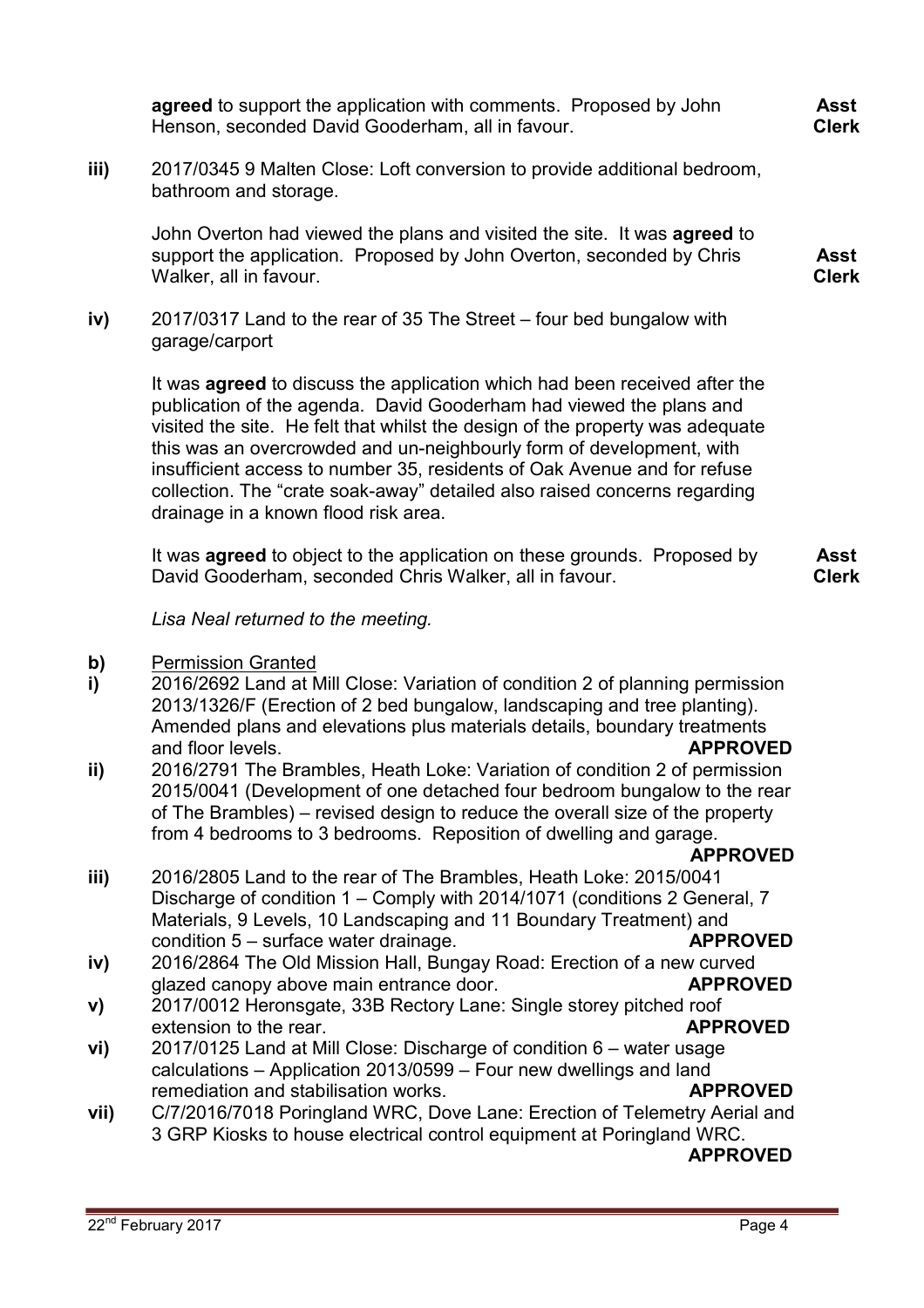**agreed** to support the application with comments. Proposed by John Henson, seconded David Gooderham, all in favour.

**iii)** 2017/0345 9 Malten Close: Loft conversion to provide additional bedroom, bathroom and storage.

John Overton had viewed the plans and visited the site. It was **agreed** to support the application. Proposed by John Overton, seconded by Chris Walker, all in favour.

**iv)** 2017/0317 Land to the rear of 35 The Street – four bed bungalow with garage/carport

> It was **agreed** to discuss the application which had been received after the publication of the agenda. David Gooderham had viewed the plans and visited the site. He felt that whilst the design of the property was adequate this was an overcrowded and un-neighbourly form of development, with insufficient access to number 35, residents of Oak Avenue and for refuse collection. The "crate soak-away" detailed also raised concerns regarding drainage in a known flood risk area.

It was **agreed** to object to the application on these grounds. Proposed by David Gooderham, seconded Chris Walker, all in favour. **Asst Clerk**

*Lisa Neal returned to the meeting.* 

- **b)**  Permission Granted
- **i)**  2016/2692 Land at Mill Close: Variation of condition 2 of planning permission 2013/1326/F (Erection of 2 bed bungalow, landscaping and tree planting). Amended plans and elevations plus materials details, boundary treatments and floor levels. **APPROVED**
- **ii)**  2016/2791 The Brambles, Heath Loke: Variation of condition 2 of permission 2015/0041 (Development of one detached four bedroom bungalow to the rear of The Brambles) – revised design to reduce the overall size of the property from 4 bedrooms to 3 bedrooms. Reposition of dwelling and garage.

### **APPROVED**

- **iii)**  2016/2805 Land to the rear of The Brambles, Heath Loke: 2015/0041 Discharge of condition 1 – Comply with 2014/1071 (conditions 2 General, 7 Materials, 9 Levels, 10 Landscaping and 11 Boundary Treatment) and condition 5 – surface water drainage. **APPROVED**
- **iv)**  2016/2864 The Old Mission Hall, Bungay Road: Erection of a new curved glazed canopy above main entrance door. **APPROVED**
- **v)**  2017/0012 Heronsgate, 33B Rectory Lane: Single storey pitched roof extension to the rear. **APPROVED**
- **vi)**  2017/0125 Land at Mill Close: Discharge of condition 6 – water usage calculations – Application 2013/0599 – Four new dwellings and land remediation and stabilisation works. **APPROVED**
- **vii)**  C/7/2016/7018 Poringland WRC, Dove Lane: Erection of Telemetry Aerial and 3 GRP Kiosks to house electrical control equipment at Poringland WRC.

# **APPROVED**

**Asst Clerk**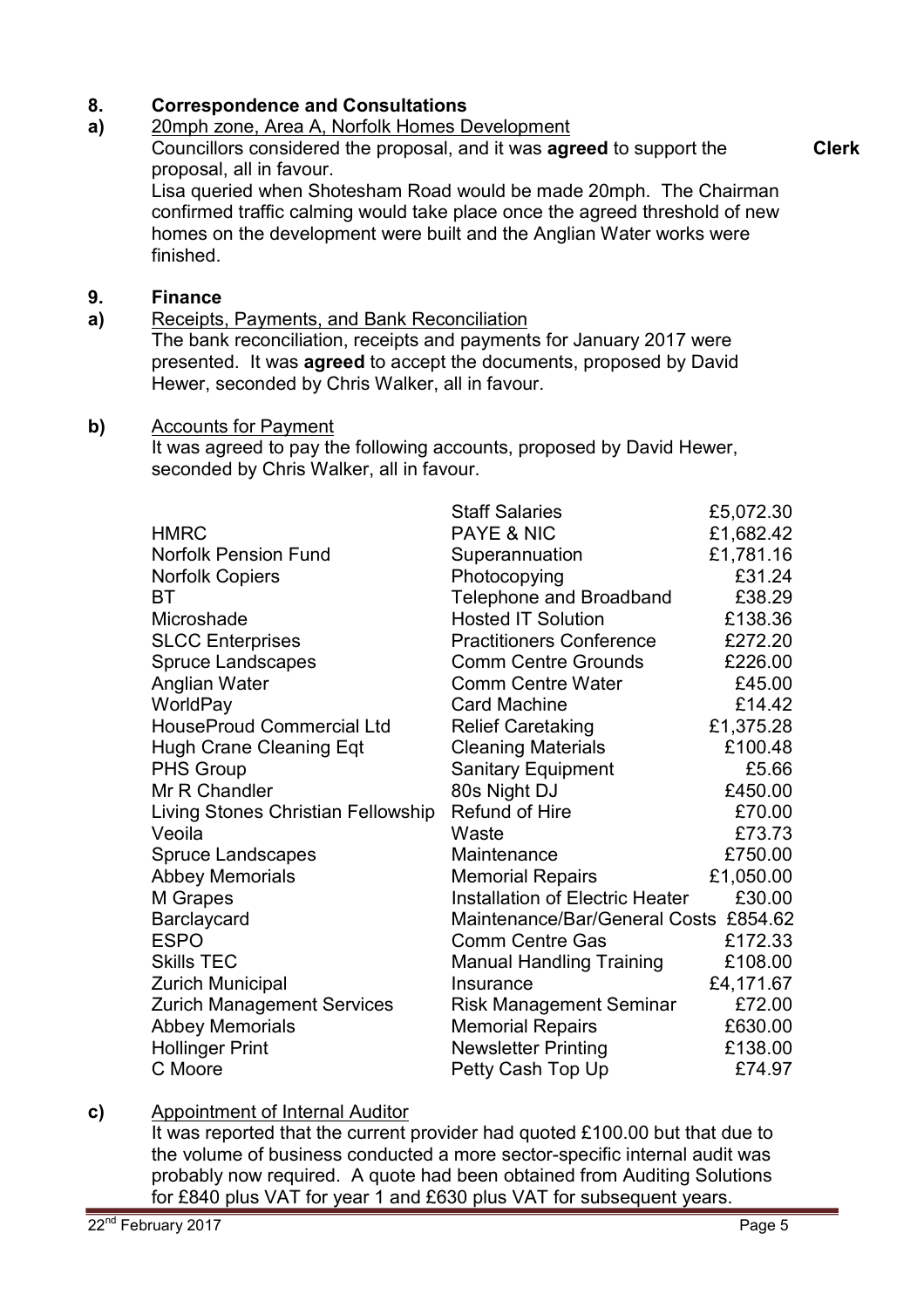#### **8. Correspondence and Consultations**

#### **a)**  20mph zone, Area A, Norfolk Homes Development

Councillors considered the proposal, and it was **agreed** to support the proposal, all in favour.

Lisa queried when Shotesham Road would be made 20mph. The Chairman confirmed traffic calming would take place once the agreed threshold of new homes on the development were built and the Anglian Water works were

finished.

#### **9. Finance**

**a)**  Receipts, Payments, and Bank Reconciliation

The bank reconciliation, receipts and payments for January 2017 were presented. It was **agreed** to accept the documents, proposed by David Hewer, seconded by Chris Walker, all in favour.

### **b)** Accounts for Payment

It was agreed to pay the following accounts, proposed by David Hewer, seconded by Chris Walker, all in favour.

|                                    | <b>Staff Salaries</b>                  | £5,072.30 |
|------------------------------------|----------------------------------------|-----------|
| <b>HMRC</b>                        | PAYE & NIC                             | £1,682.42 |
| <b>Norfolk Pension Fund</b>        | Superannuation                         | £1,781.16 |
| <b>Norfolk Copiers</b>             | Photocopying                           | £31.24    |
| ВT                                 | Telephone and Broadband                | £38.29    |
| Microshade                         | <b>Hosted IT Solution</b>              | £138.36   |
| <b>SLCC Enterprises</b>            | <b>Practitioners Conference</b>        | £272.20   |
| <b>Spruce Landscapes</b>           | <b>Comm Centre Grounds</b>             | £226.00   |
| Anglian Water                      | <b>Comm Centre Water</b>               | £45.00    |
| WorldPay                           | <b>Card Machine</b>                    | £14.42    |
| <b>HouseProud Commercial Ltd</b>   | <b>Relief Caretaking</b>               | £1,375.28 |
| <b>Hugh Crane Cleaning Eqt</b>     | <b>Cleaning Materials</b>              | £100.48   |
| <b>PHS Group</b>                   | Sanitary Equipment                     | £5.66     |
| Mr R Chandler                      | 80s Night DJ                           | £450.00   |
| Living Stones Christian Fellowship | Refund of Hire                         | £70.00    |
| Veoila                             | Waste                                  | £73.73    |
| <b>Spruce Landscapes</b>           | Maintenance                            | £750.00   |
| <b>Abbey Memorials</b>             | <b>Memorial Repairs</b>                | £1,050.00 |
| M Grapes                           | <b>Installation of Electric Heater</b> | £30.00    |
| Barclaycard                        | Maintenance/Bar/General Costs £854.62  |           |
| <b>ESPO</b>                        | <b>Comm Centre Gas</b>                 | £172.33   |
| <b>Skills TEC</b>                  | <b>Manual Handling Training</b>        | £108.00   |
| <b>Zurich Municipal</b>            | Insurance                              | £4,171.67 |
| <b>Zurich Management Services</b>  | <b>Risk Management Seminar</b>         | £72.00    |
| <b>Abbey Memorials</b>             | <b>Memorial Repairs</b>                | £630.00   |
| <b>Hollinger Print</b>             | <b>Newsletter Printing</b>             | £138.00   |
| C Moore                            | Petty Cash Top Up                      | £74.97    |

### **c)** Appointment of Internal Auditor

It was reported that the current provider had quoted £100.00 but that due to the volume of business conducted a more sector-specific internal audit was probably now required. A quote had been obtained from Auditing Solutions for £840 plus VAT for year 1 and £630 plus VAT for subsequent years.

**Clerk**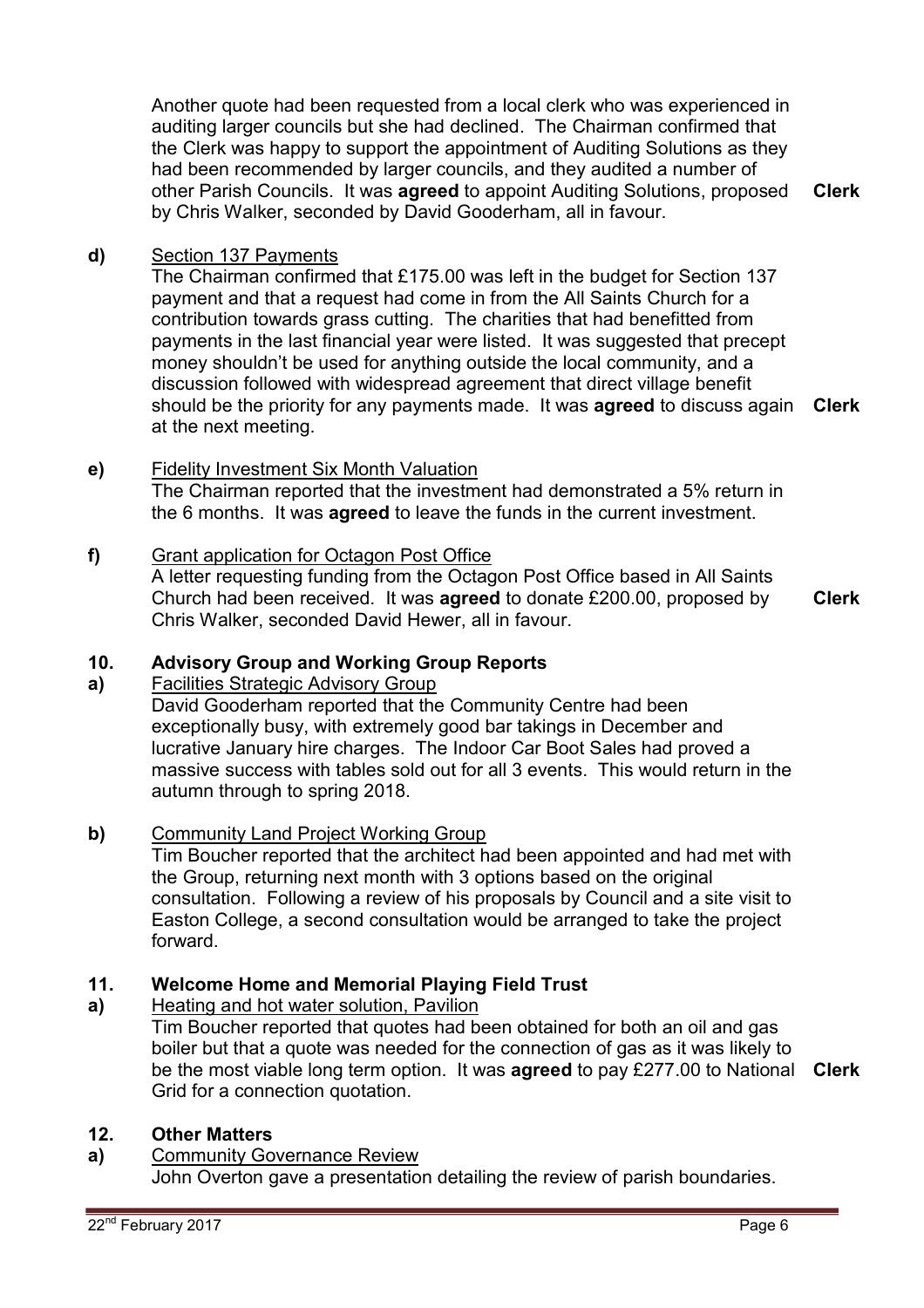Another quote had been requested from a local clerk who was experienced in auditing larger councils but she had declined. The Chairman confirmed that the Clerk was happy to support the appointment of Auditing Solutions as they had been recommended by larger councils, and they audited a number of other Parish Councils. It was **agreed** to appoint Auditing Solutions, proposed by Chris Walker, seconded by David Gooderham, all in favour.

**Clerk**

### **d)** Section 137 Payments

The Chairman confirmed that £175.00 was left in the budget for Section 137 payment and that a request had come in from the All Saints Church for a contribution towards grass cutting. The charities that had benefitted from payments in the last financial year were listed. It was suggested that precept money shouldn't be used for anything outside the local community, and a discussion followed with widespread agreement that direct village benefit should be the priority for any payments made. It was **agreed** to discuss again **Clerk** at the next meeting.

### **e)** Fidelity Investment Six Month Valuation

The Chairman reported that the investment had demonstrated a 5% return in the 6 months. It was **agreed** to leave the funds in the current investment.

### **f)** Grant application for Octagon Post Office

A letter requesting funding from the Octagon Post Office based in All Saints Church had been received. It was **agreed** to donate £200.00, proposed by Chris Walker, seconded David Hewer, all in favour.

**Clerk**

#### **10. Advisory Group and Working Group Reports**

#### **a)**  Facilities Strategic Advisory Group

David Gooderham reported that the Community Centre had been exceptionally busy, with extremely good bar takings in December and lucrative January hire charges. The Indoor Car Boot Sales had proved a massive success with tables sold out for all 3 events. This would return in the autumn through to spring 2018.

### **b)** Community Land Project Working Group

Tim Boucher reported that the architect had been appointed and had met with the Group, returning next month with 3 options based on the original consultation. Following a review of his proposals by Council and a site visit to Easton College, a second consultation would be arranged to take the project forward.

#### **11. Welcome Home and Memorial Playing Field Trust**

#### **a)**  Heating and hot water solution, Pavilion

Tim Boucher reported that quotes had been obtained for both an oil and gas boiler but that a quote was needed for the connection of gas as it was likely to be the most viable long term option. It was **agreed** to pay £277.00 to National **Clerk** Grid for a connection quotation.

### **12. Other Matters**

**a)** Community Governance Review John Overton gave a presentation detailing the review of parish boundaries.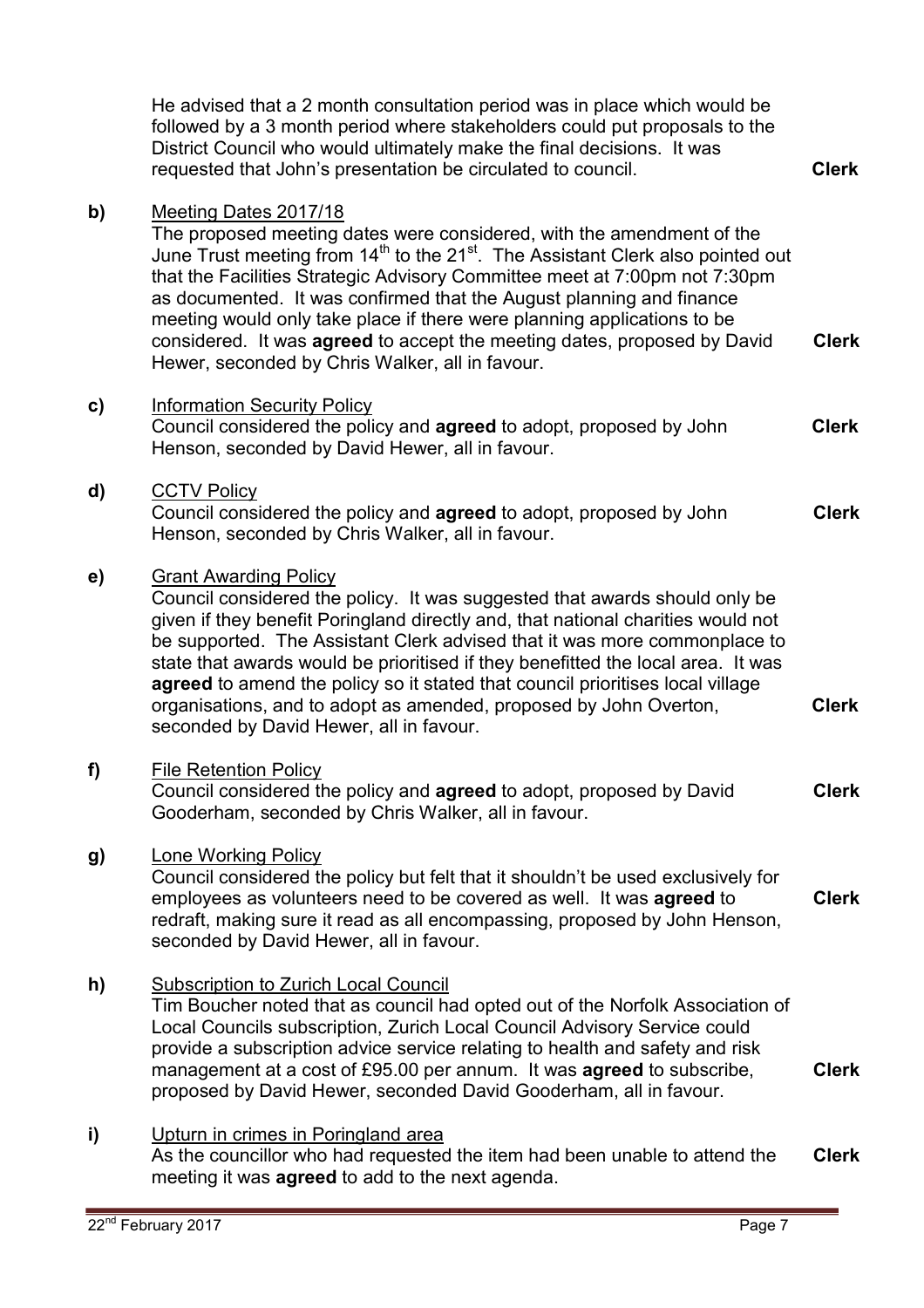|    | He advised that a 2 month consultation period was in place which would be<br>followed by a 3 month period where stakeholders could put proposals to the<br>District Council who would ultimately make the final decisions. It was<br>requested that John's presentation be circulated to council.                                                                                                                                                                                                                                                                         | <b>Clerk</b> |
|----|---------------------------------------------------------------------------------------------------------------------------------------------------------------------------------------------------------------------------------------------------------------------------------------------------------------------------------------------------------------------------------------------------------------------------------------------------------------------------------------------------------------------------------------------------------------------------|--------------|
| b) | Meeting Dates 2017/18<br>The proposed meeting dates were considered, with the amendment of the<br>June Trust meeting from 14 <sup>th</sup> to the 21 <sup>st</sup> . The Assistant Clerk also pointed out<br>that the Facilities Strategic Advisory Committee meet at 7:00pm not 7:30pm<br>as documented. It was confirmed that the August planning and finance<br>meeting would only take place if there were planning applications to be<br>considered. It was agreed to accept the meeting dates, proposed by David<br>Hewer, seconded by Chris Walker, all in favour. | <b>Clerk</b> |
| C) | <b>Information Security Policy</b><br>Council considered the policy and agreed to adopt, proposed by John<br>Henson, seconded by David Hewer, all in favour.                                                                                                                                                                                                                                                                                                                                                                                                              | <b>Clerk</b> |
| d) | <b>CCTV Policy</b><br>Council considered the policy and <b>agreed</b> to adopt, proposed by John<br>Henson, seconded by Chris Walker, all in favour.                                                                                                                                                                                                                                                                                                                                                                                                                      | <b>Clerk</b> |
| e) | <b>Grant Awarding Policy</b><br>Council considered the policy. It was suggested that awards should only be<br>given if they benefit Poringland directly and, that national charities would not<br>be supported. The Assistant Clerk advised that it was more commonplace to<br>state that awards would be prioritised if they benefitted the local area. It was<br>agreed to amend the policy so it stated that council prioritises local village<br>organisations, and to adopt as amended, proposed by John Overton,<br>seconded by David Hewer, all in favour.         | <b>Clerk</b> |
| f) | <b>File Retention Policy</b><br>Council considered the policy and <b>agreed</b> to adopt, proposed by David<br>Gooderham, seconded by Chris Walker, all in favour.                                                                                                                                                                                                                                                                                                                                                                                                        | <b>Clerk</b> |
| g) | <b>Lone Working Policy</b><br>Council considered the policy but felt that it shouldn't be used exclusively for<br>employees as volunteers need to be covered as well. It was agreed to<br>redraft, making sure it read as all encompassing, proposed by John Henson,<br>seconded by David Hewer, all in favour.                                                                                                                                                                                                                                                           | <b>Clerk</b> |
| h) | <b>Subscription to Zurich Local Council</b><br>Tim Boucher noted that as council had opted out of the Norfolk Association of<br>Local Councils subscription, Zurich Local Council Advisory Service could<br>provide a subscription advice service relating to health and safety and risk<br>management at a cost of £95.00 per annum. It was <b>agreed</b> to subscribe,<br>proposed by David Hewer, seconded David Gooderham, all in favour.                                                                                                                             | <b>Clerk</b> |
| i) | Upturn in crimes in Poringland area<br>As the councillor who had requested the item had been unable to attend the<br>meeting it was <b>agreed</b> to add to the next agenda.                                                                                                                                                                                                                                                                                                                                                                                              | <b>Clerk</b> |